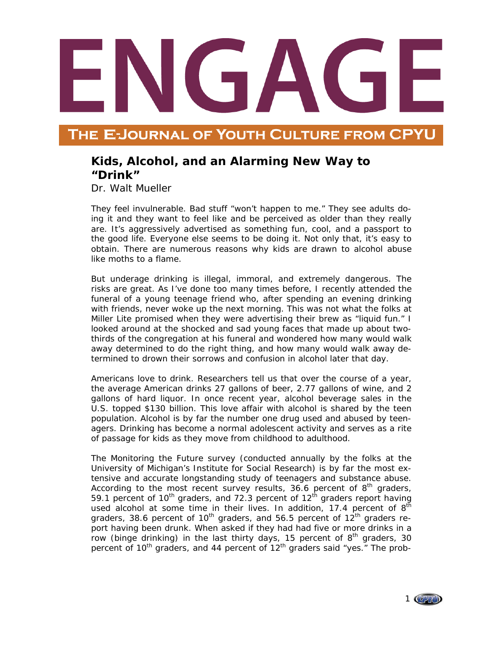## THE E-JOURNAL OF YOUTH CULTURE FROM CPYI

## **Kids, Alcohol, and an Alarming New Way to "Drink"**

Dr. Walt Mueller

They feel invulnerable. Bad stuff "won't happen to me." They see adults doing it and they want to feel like and be perceived as older than they really are. It's aggressively advertised as something fun, cool, and a passport to the good life. Everyone else seems to be doing it. Not only that, it's easy to obtain. There are numerous reasons why kids are drawn to alcohol abuse like moths to a flame.

But underage drinking is illegal, immoral, and extremely dangerous. The risks are great. As I've done too many times before, I recently attended the funeral of a young teenage friend who, after spending an evening drinking with friends, never woke up the next morning. This was not what the folks at Miller Lite promised when they were advertising their brew as "liquid fun." I looked around at the shocked and sad young faces that made up about twothirds of the congregation at his funeral and wondered how many would walk away determined to do the right thing, and how many would walk away determined to drown their sorrows and confusion in alcohol later that day.

Americans love to drink. Researchers tell us that over the course of a year, the average American drinks 27 gallons of beer, 2.77 gallons of wine, and 2 gallons of hard liquor. In once recent year, alcohol beverage sales in the U.S. topped \$130 billion. This love affair with alcohol is shared by the teen population. Alcohol is by far the number one drug used and abused by teenagers. Drinking has become a normal adolescent activity and serves as a rite of passage for kids as they move from childhood to adulthood.

The Monitoring the Future survey (conducted annually by the folks at the University of Michigan's Institute for Social Research) is by far the most extensive and accurate longstanding study of teenagers and substance abuse. According to the most recent survey results, 36.6 percent of  $8<sup>th</sup>$  graders, 59.1 percent of  $10^{th}$  graders, and 72.3 percent of  $12^{th}$  graders report having used alcohol at some time in their lives. In addition, 17.4 percent of  $8<sup>th</sup>$ graders, 38.6 percent of  $10<sup>th</sup>$  graders, and 56.5 percent of  $12<sup>th</sup>$  graders report having been drunk. When asked if they had had five or more drinks in a row (binge drinking) in the last thirty days, 15 percent of  $8<sup>th</sup>$  graders, 30 percent of  $10^{th}$  graders, and 44 percent of  $12^{th}$  graders said "yes." The prob-

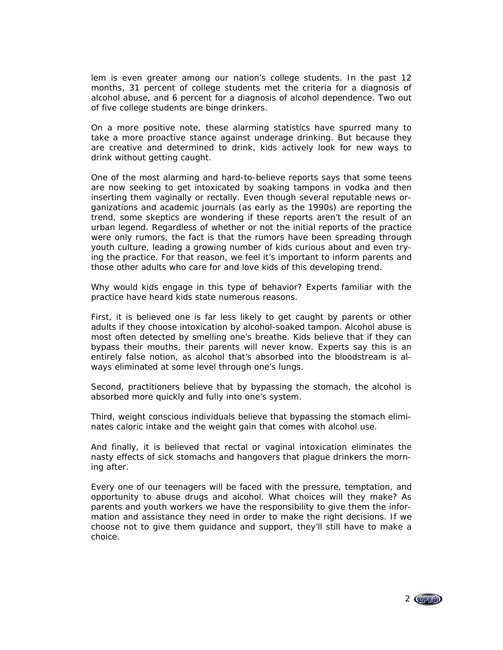lem is even greater among our nation's college students. In the past 12 months, 31 percent of college students met the criteria for a diagnosis of alcohol abuse, and 6 percent for a diagnosis of alcohol dependence. Two out of five college students are binge drinkers.

On a more positive note, these alarming statistics have spurred many to take a more proactive stance against underage drinking. But because they are creative and determined to drink, kids actively look for new ways to drink without getting caught.

One of the most alarming and hard-to-believe reports says that some teens are now seeking to get intoxicated by soaking tampons in vodka and then inserting them vaginally or rectally. Even though several reputable news organizations and academic journals (as early as the 1990s) are reporting the trend, some skeptics are wondering if these reports aren't the result of an urban legend. Regardless of whether or not the initial reports of the practice were only rumors, the fact is that the rumors have been spreading through youth culture, leading a growing number of kids curious about and even trying the practice. For that reason, we feel it's important to inform parents and those other adults who care for and love kids of this developing trend.

Why would kids engage in this type of behavior? Experts familiar with the practice have heard kids state numerous reasons.

First, it is believed one is far less likely to get caught by parents or other adults if they choose intoxication by alcohol-soaked tampon. Alcohol abuse is most often detected by smelling one's breathe. Kids believe that if they can bypass their mouths, their parents will never know. Experts say this is an entirely false notion, as alcohol that's absorbed into the bloodstream is always eliminated at some level through one's lungs.

Second, practitioners believe that by bypassing the stomach, the alcohol is absorbed more quickly and fully into one's system.

Third, weight conscious individuals believe that bypassing the stomach eliminates caloric intake and the weight gain that comes with alcohol use.

And finally, it is believed that rectal or vaginal intoxication eliminates the nasty effects of sick stomachs and hangovers that plague drinkers the morning after.

Every one of our teenagers will be faced with the pressure, temptation, and opportunity to abuse drugs and alcohol. What choices will they make? As parents and youth workers we have the responsibility to give them the information and assistance they need in order to make the right decisions. If we choose not to give them guidance and support, they'll still have to make a choice.